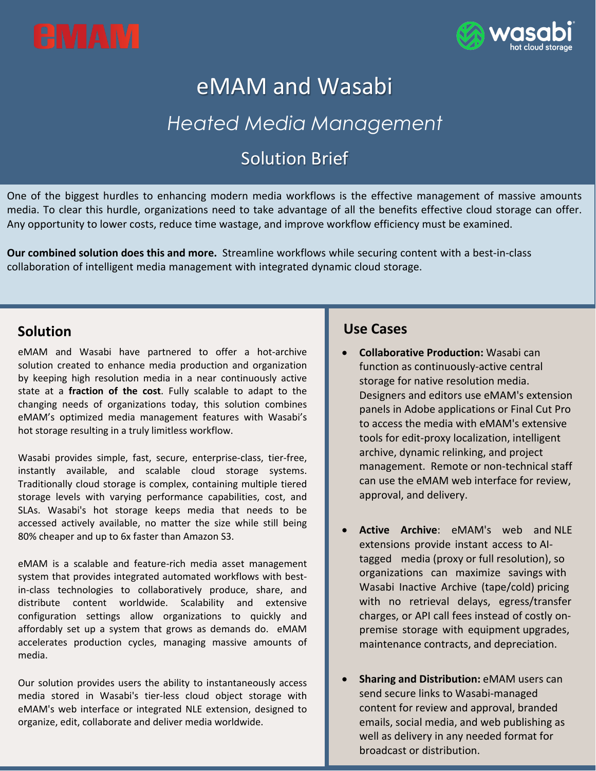



# eMAM and Wasabi *Heated Media Management*

# Solution Brief

One of the biggest hurdles to enhancing modern media workflows is the effective management of massive amounts media. To clear this hurdle, organizations need to take advantage of all the benefits effective cloud storage can offer. Any opportunity to lower costs, reduce time wastage, and improve workflow efficiency must be examined.

**Our combined solution does this and more.** Streamline workflows while securing content with a best-in-class collaboration of intelligent media management with integrated dynamic cloud storage.

### **Solution**

eMAM and Wasabi have partnered to offer a hot-archive solution created to enhance media production and organization by keeping high resolution media in a near continuously active state at a **fraction of the cost**. Fully scalable to adapt to the changing needs of organizations today, this solution combines eMAM's optimized media management features with Wasabi's hot storage resulting in a truly limitless workflow.

Wasabi provides simple, fast, secure, enterprise-class, tier-free, instantly available, and scalable cloud storage systems. Traditionally cloud storage is complex, containing multiple tiered storage levels with varying performance capabilities, cost, and SLAs. Wasabi's hot storage keeps media that needs to be accessed actively available, no matter the size while still being 80% cheaper and up to 6x faster than Amazon S3.

eMAM is a scalable and feature-rich media asset management system that provides integrated automated workflows with bestin-class technologies to collaboratively produce, share, and distribute content worldwide. Scalability and extensive configuration settings allow organizations to quickly and affordably set up a system that grows as demands do. eMAM accelerates production cycles, managing massive amounts of media.

Our solution provides users the ability to instantaneously access media stored in Wasabi's tier-less cloud object storage with eMAM's web interface or integrated NLE extension, designed to organize, edit, collaborate and deliver media worldwide.

## **Use Cases**

- **Collaborative Production:** Wasabi can function as continuously-active central storage for native resolution media. Designers and editors use eMAM's extension panels in Adobe applications or Final Cut Pro to access the media with eMAM's extensive tools for edit-proxy localization, intelligent archive, dynamic relinking, and project management. Remote or non-technical staff can use the eMAM web interface for review, approval, and delivery.
- **Active Archive**: eMAM's web and NLE extensions provide instant access to AItagged media (proxy or full resolution), so organizations can maximize savings with Wasabi Inactive Archive (tape/cold) pricing with no retrieval delays, egress/transfer charges, or API call fees instead of costly onpremise storage with equipment upgrades, maintenance contracts, and depreciation.
- **Sharing and Distribution:** eMAM users can send secure links to Wasabi-managed content for review and approval, branded emails, social media, and web publishing as well as delivery in any needed format for broadcast or distribution.